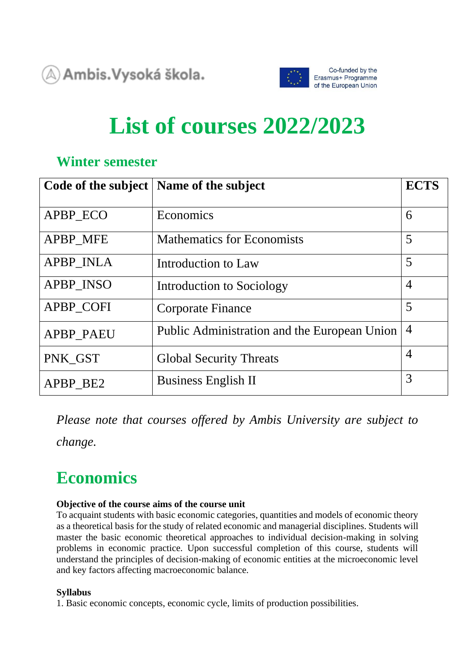$\textcircled{\textsf{x}}$ ) Ambis.Vysoká škola.



# **List of courses 2022/2023**

### **Winter semester**

| Code of the subject | Name of the subject                          | <b>ECTS</b>    |
|---------------------|----------------------------------------------|----------------|
| APBP ECO            | Economics                                    | 6              |
| <b>APBP_MFE</b>     | <b>Mathematics for Economists</b>            | 5              |
| <b>APBP INLA</b>    | Introduction to Law                          | 5              |
| <b>APBP INSO</b>    | Introduction to Sociology                    | $\overline{4}$ |
| <b>APBP COFI</b>    | <b>Corporate Finance</b>                     | 5              |
| <b>APBP PAEU</b>    | Public Administration and the European Union | $\overline{4}$ |
| PNK_GST             | <b>Global Security Threats</b>               | $\overline{4}$ |
| APBP BE2            | <b>Business English II</b>                   | 3              |

*Please note that courses offered by Ambis University are subject to change.*

### **Economics**

### **Objective of the course aims of the course unit**

To acquaint students with basic economic categories, quantities and models of economic theory as a theoretical basis for the study of related economic and managerial disciplines. Students will master the basic economic theoretical approaches to individual decision-making in solving problems in economic practice. Upon successful completion of this course, students will understand the principles of decision-making of economic entities at the microeconomic level and key factors affecting macroeconomic balance.

### **Syllabus**

1. Basic economic concepts, economic cycle, limits of production possibilities.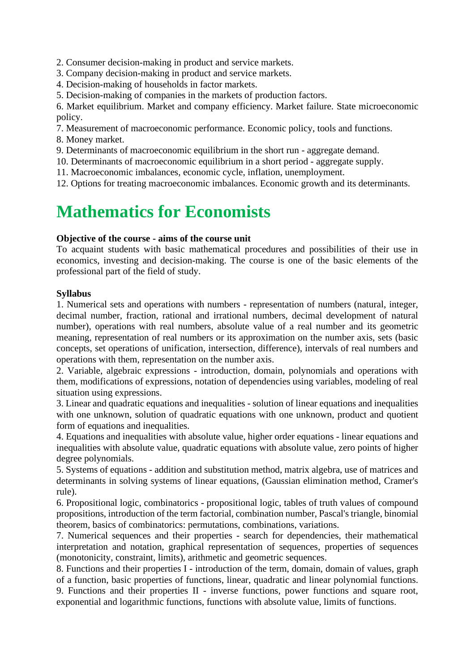2. Consumer decision-making in product and service markets.

3. Company decision-making in product and service markets.

4. Decision-making of households in factor markets.

5. Decision-making of companies in the markets of production factors.

6. Market equilibrium. Market and company efficiency. Market failure. State microeconomic policy.

7. Measurement of macroeconomic performance. Economic policy, tools and functions.

8. Money market.

9. Determinants of macroeconomic equilibrium in the short run - aggregate demand.

10. Determinants of macroeconomic equilibrium in a short period - aggregate supply.

11. Macroeconomic imbalances, economic cycle, inflation, unemployment.

12. Options for treating macroeconomic imbalances. Economic growth and its determinants.

### **Mathematics for Economists**

### **Objective of the course - aims of the course unit**

To acquaint students with basic mathematical procedures and possibilities of their use in economics, investing and decision-making. The course is one of the basic elements of the professional part of the field of study.

### **Syllabus**

1. Numerical sets and operations with numbers - representation of numbers (natural, integer, decimal number, fraction, rational and irrational numbers, decimal development of natural number), operations with real numbers, absolute value of a real number and its geometric meaning, representation of real numbers or its approximation on the number axis, sets (basic concepts, set operations of unification, intersection, difference), intervals of real numbers and operations with them, representation on the number axis.

2. Variable, algebraic expressions - introduction, domain, polynomials and operations with them, modifications of expressions, notation of dependencies using variables, modeling of real situation using expressions.

3. Linear and quadratic equations and inequalities - solution of linear equations and inequalities with one unknown, solution of quadratic equations with one unknown, product and quotient form of equations and inequalities.

4. Equations and inequalities with absolute value, higher order equations - linear equations and inequalities with absolute value, quadratic equations with absolute value, zero points of higher degree polynomials.

5. Systems of equations - addition and substitution method, matrix algebra, use of matrices and determinants in solving systems of linear equations, (Gaussian elimination method, Cramer's rule).

6. Propositional logic, combinatorics - propositional logic, tables of truth values of compound propositions, introduction of the term factorial, combination number, Pascal's triangle, binomial theorem, basics of combinatorics: permutations, combinations, variations.

7. Numerical sequences and their properties - search for dependencies, their mathematical interpretation and notation, graphical representation of sequences, properties of sequences (monotonicity, constraint, limits), arithmetic and geometric sequences.

8. Functions and their properties I - introduction of the term, domain, domain of values, graph of a function, basic properties of functions, linear, quadratic and linear polynomial functions.

9. Functions and their properties II - inverse functions, power functions and square root, exponential and logarithmic functions, functions with absolute value, limits of functions.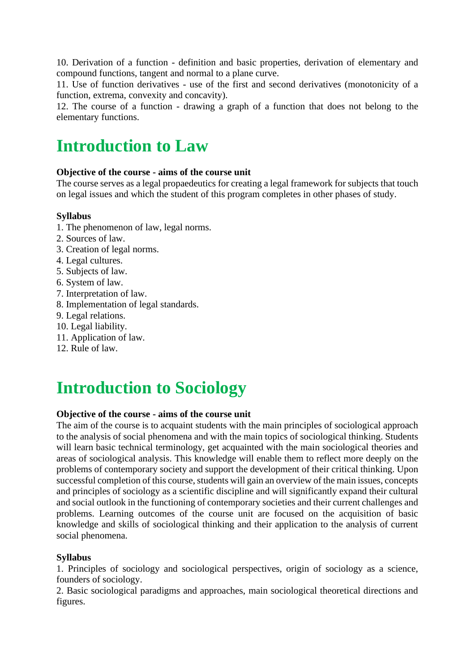10. Derivation of a function - definition and basic properties, derivation of elementary and compound functions, tangent and normal to a plane curve.

11. Use of function derivatives - use of the first and second derivatives (monotonicity of a function, extrema, convexity and concavity).

12. The course of a function - drawing a graph of a function that does not belong to the elementary functions.

### **Introduction to Law**

### **Objective of the course - aims of the course unit**

The course serves as a legal propaedeutics for creating a legal framework for subjects that touch on legal issues and which the student of this program completes in other phases of study.

### **Syllabus**

- 1. The phenomenon of law, legal norms.
- 2. Sources of law.
- 3. Creation of legal norms.
- 4. Legal cultures.
- 5. Subjects of law.
- 6. System of law.
- 7. Interpretation of law.
- 8. Implementation of legal standards.
- 9. Legal relations.
- 10. Legal liability.
- 11. Application of law.
- 12. Rule of law.

## **Introduction to Sociology**

### **Objective of the course - aims of the course unit**

The aim of the course is to acquaint students with the main principles of sociological approach to the analysis of social phenomena and with the main topics of sociological thinking. Students will learn basic technical terminology, get acquainted with the main sociological theories and areas of sociological analysis. This knowledge will enable them to reflect more deeply on the problems of contemporary society and support the development of their critical thinking. Upon successful completion of this course, students will gain an overview of the main issues, concepts and principles of sociology as a scientific discipline and will significantly expand their cultural and social outlook in the functioning of contemporary societies and their current challenges and problems. Learning outcomes of the course unit are focused on the acquisition of basic knowledge and skills of sociological thinking and their application to the analysis of current social phenomena.

### **Syllabus**

1. Principles of sociology and sociological perspectives, origin of sociology as a science, founders of sociology.

2. Basic sociological paradigms and approaches, main sociological theoretical directions and figures.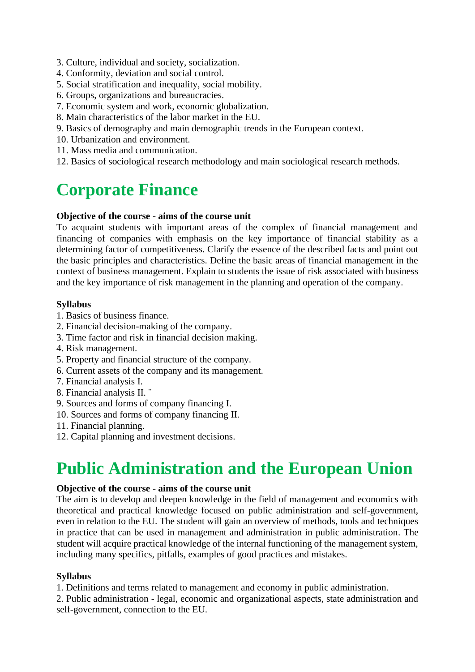- 3. Culture, individual and society, socialization.
- 4. Conformity, deviation and social control.
- 5. Social stratification and inequality, social mobility.
- 6. Groups, organizations and bureaucracies.
- 7. Economic system and work, economic globalization.
- 8. Main characteristics of the labor market in the EU.
- 9. Basics of demography and main demographic trends in the European context.
- 10. Urbanization and environment.
- 11. Mass media and communication.
- 12. Basics of sociological research methodology and main sociological research methods.

### **Corporate Finance**

### **Objective of the course - aims of the course unit**

To acquaint students with important areas of the complex of financial management and financing of companies with emphasis on the key importance of financial stability as a determining factor of competitiveness. Clarify the essence of the described facts and point out the basic principles and characteristics. Define the basic areas of financial management in the context of business management. Explain to students the issue of risk associated with business and the key importance of risk management in the planning and operation of the company.

### **Syllabus**

- 1. Basics of business finance.
- 2. Financial decision-making of the company.
- 3. Time factor and risk in financial decision making.
- 4. Risk management.
- 5. Property and financial structure of the company.
- 6. Current assets of the company and its management.
- 7. Financial analysis I.
- 8. Financial analysis II. ¨
- 9. Sources and forms of company financing I.
- 10. Sources and forms of company financing II.
- 11. Financial planning.
- 12. Capital planning and investment decisions.

### **Public Administration and the European Union**

#### **Objective of the course - aims of the course unit**

The aim is to develop and deepen knowledge in the field of management and economics with theoretical and practical knowledge focused on public administration and self-government, even in relation to the EU. The student will gain an overview of methods, tools and techniques in practice that can be used in management and administration in public administration. The student will acquire practical knowledge of the internal functioning of the management system, including many specifics, pitfalls, examples of good practices and mistakes.

### **Syllabus**

- 1. Definitions and terms related to management and economy in public administration.
- 2. Public administration legal, economic and organizational aspects, state administration and self-government, connection to the EU.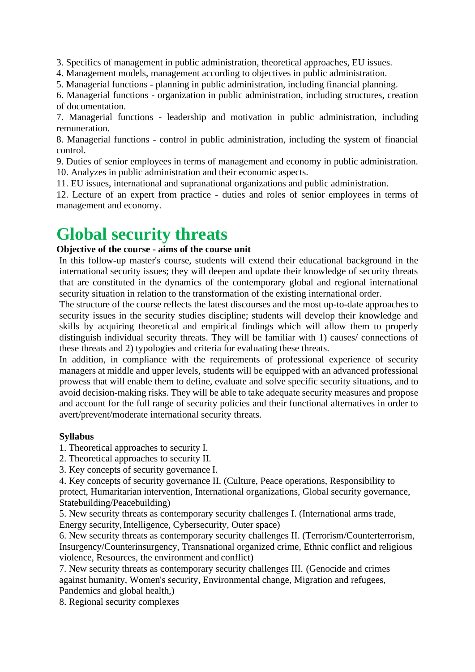3. Specifics of management in public administration, theoretical approaches, EU issues.

4. Management models, management according to objectives in public administration.

5. Managerial functions - planning in public administration, including financial planning.

6. Managerial functions - organization in public administration, including structures, creation of documentation.

7. Managerial functions - leadership and motivation in public administration, including remuneration.

8. Managerial functions - control in public administration, including the system of financial control.

9. Duties of senior employees in terms of management and economy in public administration. 10. Analyzes in public administration and their economic aspects.

11. EU issues, international and supranational organizations and public administration.

12. Lecture of an expert from practice - duties and roles of senior employees in terms of management and economy.

### **Global security threats**

### **Objective of the course - aims of the course unit**

In this follow-up master's course, students will extend their educational background in the international security issues; they will deepen and update their knowledge of security threats that are constituted in the dynamics of the contemporary global and regional international security situation in relation to the transformation of the existing international order.

The structure of the course reflects the latest discourses and the most up-to-date approaches to security issues in the security studies discipline; students will develop their knowledge and skills by acquiring theoretical and empirical findings which will allow them to properly distinguish individual security threats. They will be familiar with 1) causes/ connections of these threats and 2) typologies and criteria for evaluating these threats.

In addition, in compliance with the requirements of professional experience of security managers at middle and upper levels, students will be equipped with an advanced professional prowess that will enable them to define, evaluate and solve specific security situations, and to avoid decision-making risks. They will be able to take adequate security measures and propose and account for the full range of security policies and their functional alternatives in order to avert/prevent/moderate international security threats.

#### **Syllabus**

1. Theoretical approaches to security I.

2. Theoretical approaches to security II.

3. Key concepts of security governance I.

4. Key concepts of security governance II. (Culture, Peace operations, Responsibility to protect, Humaritarian intervention, International organizations, Global security governance, Statebuilding/Peacebuilding)

5. New security threats as contemporary security challenges I. (International arms trade, Energy security, Intelligence, Cybersecurity, Outer space)

6. New security threats as contemporary security challenges II. (Terrorism/Counterterrorism, Insurgency/Counterinsurgency, Transnational organized crime, Ethnic conflict and religious violence, Resources, the environment and conflict)

7. New security threats as contemporary security challenges III. (Genocide and crimes against humanity, Women's security, Environmental change, Migration and refugees, Pandemics and global health,)

8. Regional security complexes